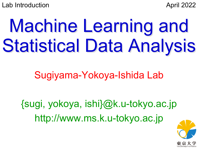Lab Introduction **April 2022** 

# Machine Learning and Statistical Data Analysis

## Sugiyama-Yokoya-Ishida Lab

{sugi, yokoya, ishi}@k.u-tokyo.ac.jp http://www.ms.k.u-tokyo.ac.jp

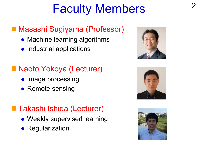## Faculty Members

#### ■ Masashi Sugiyama (Professor)

- Machine learning algorithms
- Industrial applications

#### ■ Naoto Yokoya (Lecturer)

- Image processing
- Remote sensing

#### ■ Takashi Ishida (Lecturer)

- Weakly supervised learning
- Regularization





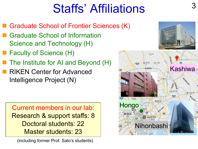## **Staffs' Affiliations**

- Graduate School of Frontier Sciences (K)
- **n Graduate School of Information** Science and Technology (H)
- Faculty of Science (H)
- The Institute for AI and Beyond (H)
- **n** RIKEN Center for Advanced Intelligence Project (N)

Current members in our lab: Research & support staffs: 8 Doctoral students: 22 Master students: 23

(including former Prof. Sato's students)

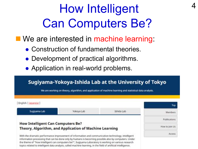## How Intelligent Can Computers Be?

4

- We are interested in machine learning:
	- Construction of fundamental theories.
	- Development of practical algorithms.
	- Application in real-world problems.

the theme of "how intelligent can computers be?", Sugiyama Laboratory is working on various research topics related to intelligent data analysis, called machine learning, in the field of artificial intelligence.

#### Sugiyama-Yokoya-Ishida Lab at the University of Tokyo

We are working on theory, algorithm, and application of machine learning and statistical data analysis.

|                                                                                                    |            | Top            |
|----------------------------------------------------------------------------------------------------|------------|----------------|
| Yokoya Lab                                                                                         | Ishida Lab | Members        |
|                                                                                                    |            |                |
| <b>How Intelligent Can Computers Be?</b><br>Theory, Algorithm, and Application of Machine Learning |            | How to Join Us |
| With the dramatic performance improvement of information and communication technology, intelligent |            |                |
|                                                                                                    |            |                |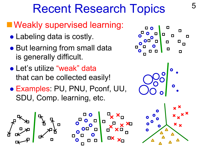#### **NWeakly supervised learning:**

- Labeling data is costly.
- But learning from small data is generally difficult.
- Let's utilize "weak" data that can be collected easily!
- **. Examples: PU, PNU, Pconf, UU,** SDU, Comp. learning, etc.



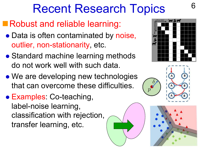## Robust and reliable learning:

- Data is often contaminated by noise, outlier, non-stationarity, etc.
- Standard machine learning methods do not work well with such data.
- We are developing new technologies that can overcome these difficulties.
- Examples: Co-teaching, label-noise learning, classification with rejection, transfer learning, etc.



6



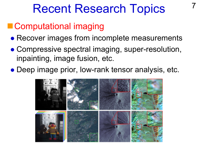#### ■ Computational imaging

- Recover images from incomplete measurements
- Compressive spectral imaging, super-resolution, inpainting, image fusion, etc.
- Deep image prior, low-rank tensor analysis, etc.

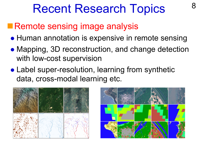### **Remote sensing image analysis**

- Human annotation is expensive in remote sensing
- Mapping, 3D reconstruction, and change detection with low-cost supervision
- Label super-resolution, learning from synthetic data, cross-modal learning etc.